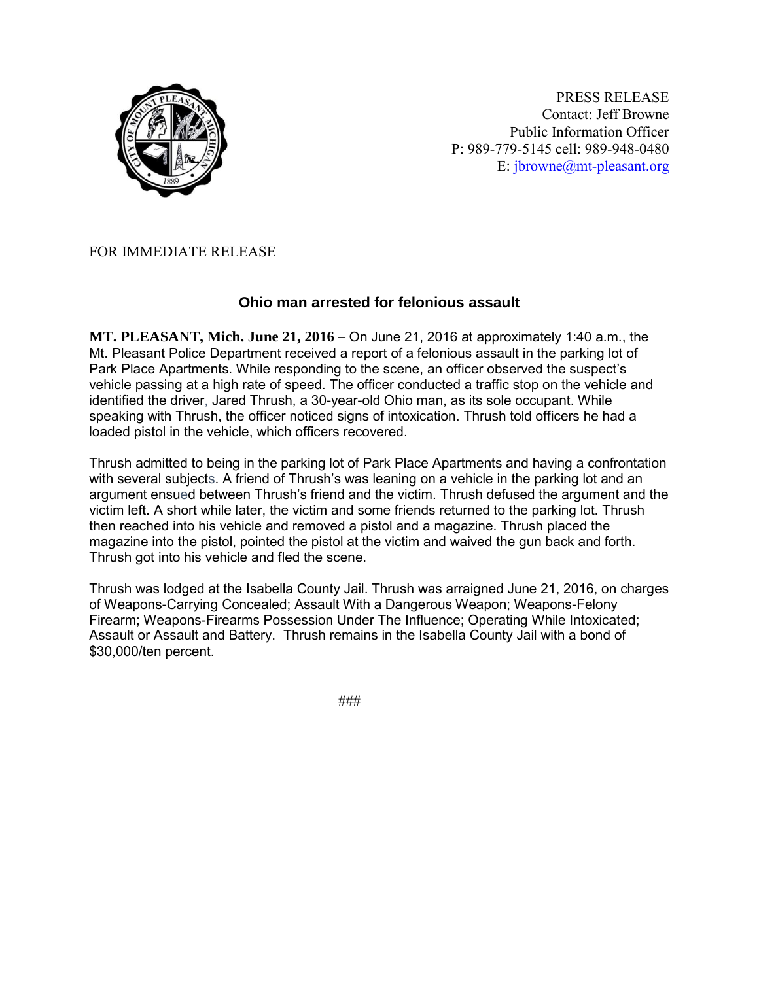

PRESS RELEASE Contact: Jeff Browne Public Information Officer P: 989-779-5145 cell: 989-948-0480 E: [jbrowne@mt-pleasant.org](mailto:jbrowne@mt-pleasant.org)

## FOR IMMEDIATE RELEASE

## **Ohio man arrested for felonious assault**

**MT. PLEASANT, Mich. June 21, 2016** – On June 21, 2016 at approximately 1:40 a.m., the Mt. Pleasant Police Department received a report of a felonious assault in the parking lot of Park Place Apartments. While responding to the scene, an officer observed the suspect's vehicle passing at a high rate of speed. The officer conducted a traffic stop on the vehicle and identified the driver, Jared Thrush, a 30-year-old Ohio man, as its sole occupant. While speaking with Thrush, the officer noticed signs of intoxication. Thrush told officers he had a loaded pistol in the vehicle, which officers recovered.

Thrush admitted to being in the parking lot of Park Place Apartments and having a confrontation with several subjects. A friend of Thrush's was leaning on a vehicle in the parking lot and an argument ensued between Thrush's friend and the victim. Thrush defused the argument and the victim left. A short while later, the victim and some friends returned to the parking lot. Thrush then reached into his vehicle and removed a pistol and a magazine. Thrush placed the magazine into the pistol, pointed the pistol at the victim and waived the gun back and forth. Thrush got into his vehicle and fled the scene.

Thrush was lodged at the Isabella County Jail. Thrush was arraigned June 21, 2016, on charges of Weapons-Carrying Concealed; Assault With a Dangerous Weapon; Weapons-Felony Firearm; Weapons-Firearms Possession Under The Influence; Operating While Intoxicated; Assault or Assault and Battery. Thrush remains in the Isabella County Jail with a bond of \$30,000/ten percent.

###